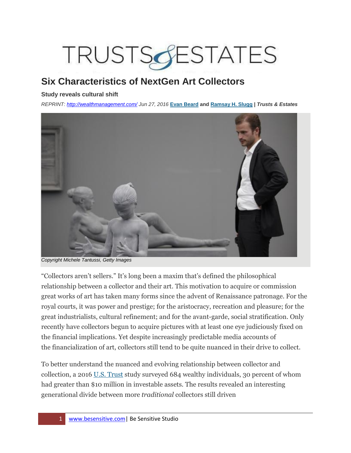# TRUSTSSESTATES

# **Six Characteristics of NextGen Art Collectors**

#### **Study reveals cultural shift**

*REPRINT:<http://wealthmanagement.com/> Jun 27, 2016* **[Evan Beard](http://wealthmanagement.com/author/evan-beard) and [Ramsay H. Slugg](http://wealthmanagement.com/author/ramsay-h-slugg) |** *Trusts & Estates*



*Copyright Michele Tantussi, Getty Images*

"Collectors aren't sellers." It's long been a maxim that's defined the philosophical relationship between a collector and their art. This motivation to acquire or commission great works of art has taken many forms since the advent of Renaissance patronage. For the royal courts, it was power and prestige; for the aristocracy, recreation and pleasure; for the great industrialists, cultural refinement; and for the avant-garde, social stratification. Only recently have collectors begun to acquire pictures with at least one eye judiciously fixed on the financial implications. Yet despite increasingly predictable media accounts of the financialization of art, collectors still tend to be quite nuanced in their drive to collect.

To better understand the nuanced and evolving relationship between collector and collection, a 2016 [U.S. Trust](http://www.ustrust.com/ust/pages/insights-on-wealth-and-worth-2016.aspx) study surveyed 684 wealthy individuals, 30 percent of whom had greater than \$10 million in investable assets. The results revealed an interesting generational divide between more *traditional* collectors still driven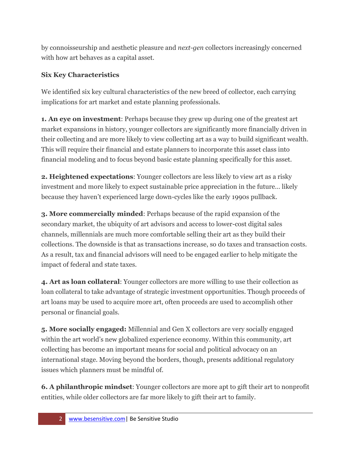by connoisseurship and aesthetic pleasure and *next-gen* collectors increasingly concerned with how art behaves as a capital asset.

## **Six Key Characteristics**

We identified six key cultural characteristics of the new breed of collector, each carrying implications for art market and estate planning professionals.

**1. An eye on investment**: Perhaps because they grew up during one of the greatest art market expansions in history, younger collectors are significantly more financially driven in their collecting and are more likely to view collecting art as a way to build significant wealth. This will require their financial and estate planners to incorporate this asset class into financial modeling and to focus beyond basic estate planning specifically for this asset.

**2. Heightened expectations**: Younger collectors are less likely to view art as a risky investment and more likely to expect sustainable price appreciation in the future… likely because they haven't experienced large down-cycles like the early 1990s pullback.

**3. More commercially minded**: Perhaps because of the rapid expansion of the secondary market, the ubiquity of art advisors and access to lower-cost digital sales channels, millennials are much more comfortable selling their art as they build their collections. The downside is that as transactions increase, so do taxes and transaction costs. As a result, tax and financial advisors will need to be engaged earlier to help mitigate the impact of federal and state taxes.

**4. Art as loan collateral**: Younger collectors are more willing to use their collection as loan collateral to take advantage of strategic investment opportunities. Though proceeds of art loans may be used to acquire more art, often proceeds are used to accomplish other personal or financial goals.

**5. More socially engaged:** Millennial and Gen X collectors are very socially engaged within the art world's new globalized experience economy. Within this community, art collecting has become an important means for social and political advocacy on an international stage. Moving beyond the borders, though, presents additional regulatory issues which planners must be mindful of.

**6. A philanthropic mindset**: Younger collectors are more apt to gift their art to nonprofit entities, while older collectors are far more likely to gift their art to family.